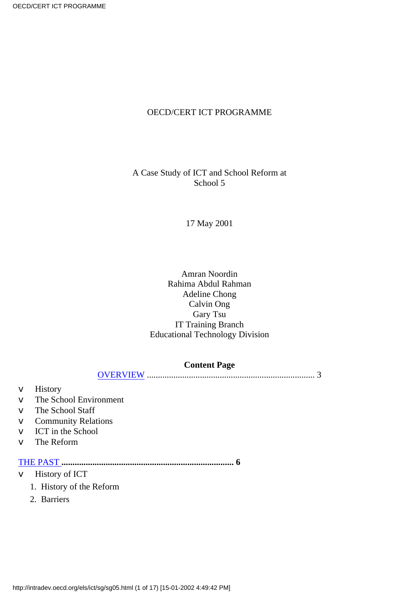#### OECD/CERT ICT PROGRAMME

#### A Case Study of ICT and School Reform at School 5

#### 17 May 2001

#### Amran Noordin Rahima Abdul Rahman Adeline Chong Calvin Ong Gary Tsu IT Training Branch Educational Technology Division

#### **Content Page**

```
OVERVIEW ............................................................................ 3
```
- v History
- v The School Environment
- v The School Staff
- v Community Relations
- v ICT in the School
- v The Reform

#### [THE PAST](#page-3-0) **.............................................................................. 6**

- v History of ICT
	- 1. History of the Reform
	- 2. Barriers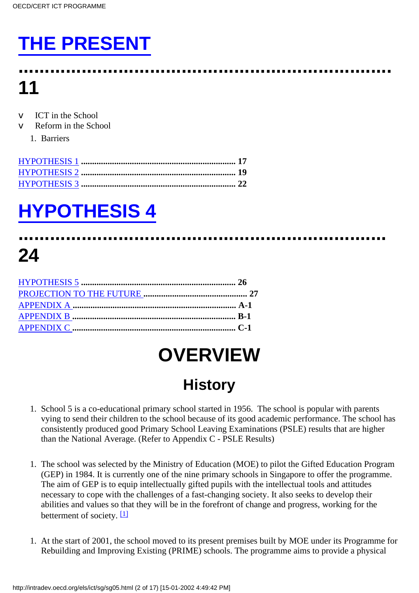# **[THE PRESENT](#page-5-0)**

### **....................................................................... 11**

- ICT in the School
- Reform in the School
	- 1. Barriers

# **[HYPOTHESIS 4](#page-10-0)**

### **...................................................................... 24**

## **OVERVIEW**

### **History**

- <span id="page-1-0"></span>1. School 5 is a co-educational primary school started in 1956. The school is popular with parents vying to send their children to the school because of its good academic performance. The school has consistently produced good Primary School Leaving Examinations (PSLE) results that are higher than the National Average. (Refer to Appendix C - PSLE Results)
- 1. The school was selected by the Ministry of Education (MOE) to pilot the Gifted Education Program (GEP) in 1984. It is currently one of the nine primary schools in Singapore to offer the programme. The aim of GEP is to equip intellectually gifted pupils with the intellectual tools and attitudes necessary to cope with the challenges of a fast-changing society. It also seeks to develop their abilities and values so that they will be in the forefront of change and progress, working for the betterment of society.  $[1]$
- <span id="page-1-1"></span>At the start of 2001, the school moved to its present premises built by MOE under its Programme for 1. Rebuilding and Improving Existing (PRIME) schools. The programme aims to provide a physical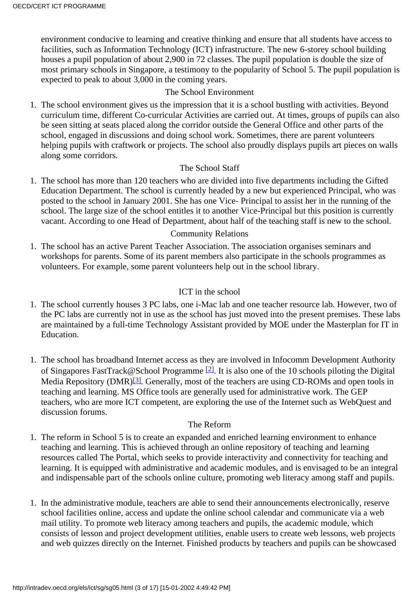environment conducive to learning and creative thinking and ensure that all students have access to facilities, such as Information Technology (ICT) infrastructure. The new 6-storey school building houses a pupil population of about 2,900 in 72 classes. The pupil population is double the size of most primary schools in Singapore, a testimony to the popularity of School 5. The pupil population is expected to peak to about 3,000 in the coming years.

#### The School Environment

1. The school environment gives us the impression that it is a school bustling with activities. Beyond curriculum time, different Co-curricular Activities are carried out. At times, groups of pupils can also be seen sitting at seats placed along the corridor outside the General Office and other parts of the school, engaged in discussions and doing school work. Sometimes, there are parent volunteers helping pupils with craftwork or projects. The school also proudly displays pupils art pieces on walls along some corridors.

#### The School Staff

1. The school has more than 120 teachers who are divided into five departments including the Gifted Education Department. The school is currently headed by a new but experienced Principal, who was posted to the school in January 2001. She has one Vice- Principal to assist her in the running of the school. The large size of the school entitles it to another Vice-Principal but this position is currently vacant. According to one Head of Department, about half of the teaching staff is new to the school.

#### Community Relations

1. The school has an active Parent Teacher Association. The association organises seminars and workshops for parents. Some of its parent members also participate in the school s programmes as volunteers. For example, some parent volunteers help out in the school library.

#### ICT in the school

- 1. The school currently houses 3 PC labs, one i-Mac lab and one teacher resource lab. However, two of the PC labs are currently not in use as the school has just moved into the present premises. These labs are maintained by a full-time Technology Assistant provided by MOE under the Masterplan for IT in Education.
- <span id="page-2-1"></span><span id="page-2-0"></span>1. The school has broadband Internet access as they are involved in Infocomm Development Authority of Singapore s FastTrack@School Programme<sup>[2]</sup>. It is also one of the 10 schools piloting the Digital Media Repository (DMR)<sup>[\[3\]](#page-15-3)</sup>. Generally, most of the teachers are using CD-ROMs and open tools in teaching and learning. MS Office tools are generally used for administrative work. The GEP teachers, who are more ICT competent, are exploring the use of the Internet such as WebQuest and discussion forums.

#### The Reform

- 1. The reform in School 5 is to create an expanded and enriched learning environment to enhance teaching and learning. This is achieved through an online repository of teaching and learning resources called The Portal, which seeks to provide interactivity and connectivity for teaching and learning. It is equipped with administrative and academic modules, and is envisaged to be an integral and indispensable part of the schools online culture, promoting web literacy among staff and pupils.
- In the administrative module, teachers are able to send their announcements electronically, reserve 1. school facilities online, access and update the online school calendar and communicate via a web mail utility. To promote web literacy among teachers and pupils, the academic module, which consists of lesson and project development utilities, enable users to create web lessons, web projects and web quizzes directly on the Internet. Finished products by teachers and pupils can be showcased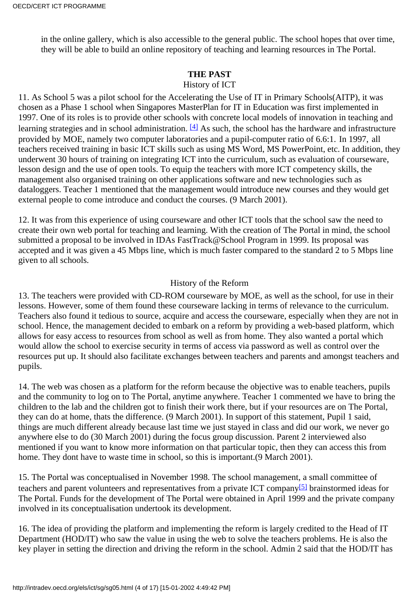in the online gallery, which is also accessible to the general public. The school hopes that over time, they will be able to build an online repository of teaching and learning resources in The Portal.

#### **THE PAST**

#### History of ICT

<span id="page-3-1"></span><span id="page-3-0"></span>11. As School 5 was a pilot school for the Accelerating the Use of IT in Primary Schools(AITP), it was chosen as a Phase 1 school when Singapores MasterPlan for IT in Education was first implemented in 1997. One of its roles is to provide other schools with concrete local models of innovation in teaching and learning strategies and in school administration.  $[4]$  As such, the school has the hardware and infrastructure provided by MOE, namely two computer laboratories and a pupil-computer ratio of 6.6:1. In 1997, all teachers received training in basic ICT skills such as using MS Word, MS PowerPoint, etc. In addition, they underwent 30 hours of training on integrating ICT into the curriculum, such as evaluation of courseware, lesson design and the use of open tools. To equip the teachers with more ICT competency skills, the management also organised training on other applications software and new technologies such as dataloggers. Teacher 1 mentioned that the management would introduce new courses and they would get external people to come introduce and conduct the courses. (9 March 2001).

12. It was from this experience of using courseware and other ICT tools that the school saw the need to create their own web portal for teaching and learning. With the creation of The Portal in mind, the school submitted a proposal to be involved in IDA s FastTrack@School Program in 1999. Its proposal was accepted and it was given a 45 Mbps line, which is much faster compared to the standard 2 to 5 Mbps line given to all schools.

#### History of the Reform

13. The teachers were provided with CD-ROM courseware by MOE, as well as the school, for use in their lessons. However, some of them found these courseware lacking in terms of relevance to the curriculum. Teachers also found it tedious to source, acquire and access the courseware, especially when they are not in school. Hence, the management decided to embark on a reform by providing a web-based platform, which allows for easy access to resources from school as well as from home. They also wanted a portal which would allow the school to exercise security in terms of access via password as well as control over the resources put up. It should also facilitate exchanges between teachers and parents and amongst teachers and pupils.

14. The web was chosen as a platform for the reform because the objective was to enable teachers, pupils and the community to log on to The Portal, anytime anywhere. Teacher 1 commented we have to bring the children to the lab and the children got to finish their work there, but if your resources are on The Portal, they can do at home, that s the difference. (9 March 2001). In support of this statement, Pupil 1 said, things are much different already because last time we just stayed in class and did our work, we never go anywhere else to do (30 March 2001) during the focus group discussion. Parent 2 interviewed also mentioned if you want to know more information on that particular topic, then they can access this from home. They don t have to waste time in school, so this is important. (9 March 2001).

<span id="page-3-2"></span>15. The Portal was conceptualised in November 1998. The school management, a small committee of teachers and parent volunteers and representatives from a private ICT company[\[5\]](#page-16-1) brainstormed ideas for The Portal. Funds for the development of The Portal were obtained in April 1999 and the private company involved in its conceptualisation undertook its development.

16. The idea of providing the platform and implementing the reform is largely credited to the Head of IT Department (HOD/IT) who saw the value in using the web to solve the teachers problems. He is also the key player in setting the direction and driving the reform in the school. Admin 2 said that the HOD/IT has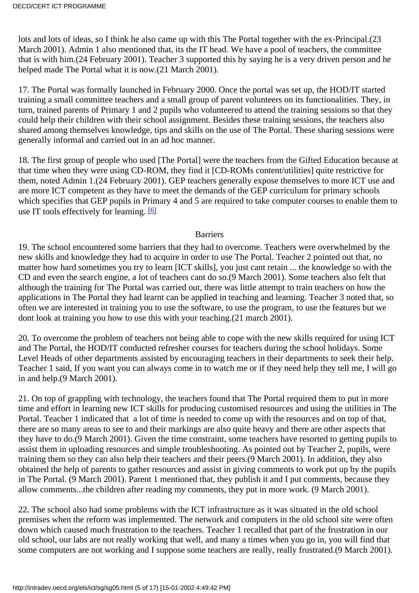lots and lots of ideas, so I think he also came up with this The Portal together with the ex-Principal.(23 March 2001). Admin 1 also mentioned that, it s the IT head. We have a pool of teachers, the committee that is with him.(24 February 2001). Teacher 3 supported this by saying he is a very driven person and he helped made The Portal what it is now. (21 March 2001).

17. The Portal was formally launched in February 2000. Once the portal was set up, the HOD/IT started training a small committee teachers and a small group of parent volunteers on its functionalities. They, in turn, trained parents of Primary 1 and 2 pupils who volunteered to attend the training sessions so that they could help their children with their school assignment. Besides these training sessions, the teachers also shared among themselves knowledge, tips and skills on the use of The Portal. These sharing sessions were generally informal and carried out in an ad hoc manner.

18. The first group of people who used [The Portal] were the teachers from the Gifted Education because at that time when they were using CD-ROM, they find it [CD-ROMs content/utilities] quite restrictive for them, noted Admin 1.(24 February 2001). GEP teachers generally expose themselves to more ICT use and are more ICT competent as they have to meet the demands of the GEP curriculum for primary schools which specifies that GEP pupils in Primary 4 and 5 are required to take computer courses to enable them to use IT tools effectively for learning.  $[6]$ 

#### **Barriers**

<span id="page-4-0"></span>19. The school encountered some barriers that they had to overcome. Teachers were overwhelmed by the new skills and knowledge they had to acquire in order to use The Portal. Teacher 2 pointed out that, no matter how hard sometimes you try to learn [ICT skills], you just cant retain ... the knowledge so with the CD and even the search engine, a lot of teachers cant do so.(9 March 2001). Some teachers also felt that although the training for The Portal was carried out, there was little attempt to train teachers on how the applications in The Portal they had learnt can be applied in teaching and learning. Teacher 3 noted that, so often we are interested in training you to use the software, to use the program, to use the features but we dont look at training you how to use this with your teaching.(21 march 2001).

20. To overcome the problem of teachers not being able to cope with the new skills required for using ICT and The Portal, the HOD/IT conducted refresher courses for teachers during the school holidays. Some Level Heads of other departments assisted by encouraging teachers in their departments to seek their help. Teacher 1 said, If you want you can always come in to watch me or if they need help they tell me, I will go in and help.(9 March 2001).

21. On top of grappling with technology, the teachers found that The Portal required them to put in more time and effort in learning new ICT skills for producing customised resources and using the utilities in The Portal. Teacher 1 indicated that a lot of time is needed to come up with the resources and on top of that, there are so many areas to see to and their markings are also quite heavy and there are other aspects that they have to do.(9 March 2001). Given the time constraint, some teachers have resorted to getting pupils to assist them in uploading resources and simple troubleshooting. As pointed out by Teacher 2, pupils, were training them so they can also help their teachers and their peers.(9 March 2001). In addition, they also obtained the help of parents to gather resources and assist in giving comments to work put up by the pupils in The Portal. (9 March 2001). Parent 1 mentioned that, they publish it and I put comments, because they allow comments...the children after reading my comments, they put in more work. (9 March 2001).

22. The school also had some problems with the ICT infrastructure as it was situated in the old school premises when the reform was implemented. The network and computers in the old school site were often down which caused much frustration to the teachers. Teacher 1 recalled that part of the frustration in our old school, our labs are not really working that well, and many a times when you go in, you will find that some computers are not working and I suppose some teachers are really, really frustrated.(9 March 2001).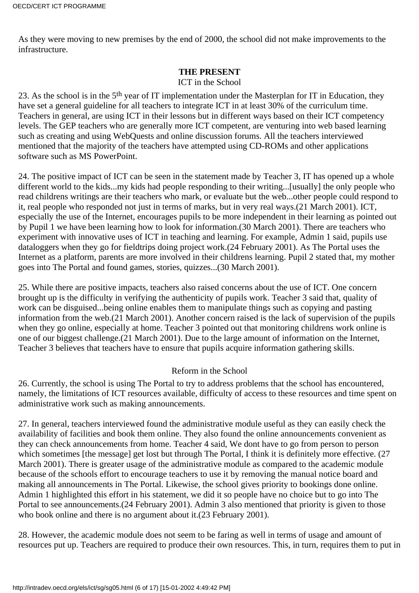As they were moving to new premises by the end of 2000, the school did not make improvements to the infrastructure.

#### **THE PRESENT**

#### ICT in the School

<span id="page-5-0"></span>23. As the school is in the 5th year of IT implementation under the Masterplan for IT in Education, they have set a general guideline for all teachers to integrate ICT in at least 30% of the curriculum time. Teachers in general, are using ICT in their lessons but in different ways based on their ICT competency levels. The GEP teachers who are generally more ICT competent, are venturing into web based learning such as creating and using WebQuests and online discussion forums. All the teachers interviewed mentioned that the majority of the teachers have attempted using CD-ROMs and other applications software such as MS PowerPoint.

24. The positive impact of ICT can be seen in the statement made by Teacher 3, IT has opened up a whole different world to the kids...my kids had people responding to their writing...[usually] the only people who read children s writings are their teachers who mark, or evaluate but the web...other people could respond to it, real people who responded not just in terms of marks, but in very real ways.(21 March 2001). ICT, especially the use of the Internet, encourages pupils to be more independent in their learning as pointed out by Pupil 1 we have been learning how to look for information.(30 March 2001). There are teachers who experiment with innovative uses of ICT in teaching and learning. For example, Admin 1 said, pupils use dataloggers when they go for fieldtrips doing project work.(24 February 2001). As The Portal uses the Internet as a platform, parents are more involved in their children s learning. Pupil 2 stated that, my mother goes into The Portal and found games, stories, quizzes...(30 March 2001).

25. While there are positive impacts, teachers also raised concerns about the use of ICT. One concern brought up is the difficulty in verifying the authenticity of pupils work. Teacher 3 said that, quality of work can be disguised...being online enables them to manipulate things such as copying and pasting information from the web.(21 March 2001). Another concern raised is the lack of supervision of the pupils when they go online, especially at home. Teacher 3 pointed out that monitoring children s work online is one of our biggest challenge.(21 March 2001). Due to the large amount of information on the Internet, Teacher 3 believes that teachers have to ensure that pupils acquire information gathering skills.

#### Reform in the School

26. Currently, the school is using The Portal to try to address problems that the school has encountered, namely, the limitations of ICT resources available, difficulty of access to these resources and time spent on administrative work such as making announcements.

27. In general, teachers interviewed found the administrative module useful as they can easily check the availability of facilities and book them online. They also found the online announcements convenient as they can check announcements from home. Teacher 4 said, We dont have to go from person to person which sometimes [the message] get lost but through The Portal, I think it is definitely more effective. (27) March 2001). There is greater usage of the administrative module as compared to the academic module because of the school s effort to encourage teachers to use it by removing the manual notice board and making all announcements in The Portal. Likewise, the school gives priority to bookings done online. Admin 1 highlighted this effort in his statement, we did it so people have no choice but to go into The Portal to see announcements. (24 February 2001). Admin 3 also mentioned that priority is given to those who book online and there is no argument about it. (23 February 2001).

28. However, the academic module does not seem to be faring as well in terms of usage and amount of resources put up. Teachers are required to produce their own resources. This, in turn, requires them to put in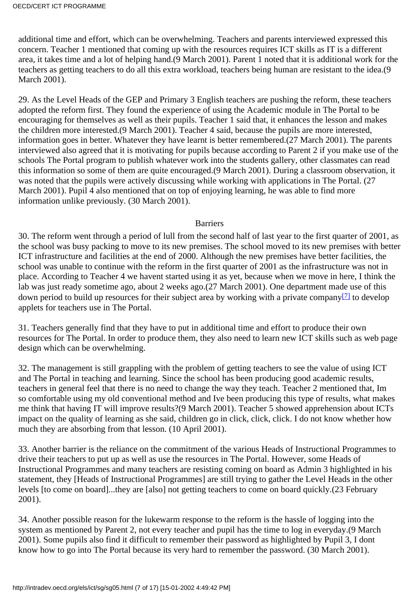additional time and effort, which can be overwhelming. Teachers and parents interviewed expressed this concern. Teacher 1 mentioned that coming up with the resources requires ICT skills as IT is a different area, it takes time and a lot of helping hand.(9 March 2001). Parent 1 noted that it is additional work for the teachers as getting teachers to do all this extra workload, teachers being human are resistant to the idea.(9 March 2001).

29. As the Level Heads of the GEP and Primary 3 English teachers are pushing the reform, these teachers adopted the reform first. They found the experience of using the Academic module in The Portal to be encouraging for themselves as well as their pupils. Teacher 1 said that, it enhances the lesson and makes the children more interested.(9 March 2001). Teacher 4 said, because the pupils are more interested, information goes in better. Whatever they have learnt is better remembered.(27 March 2001). The parents interviewed also agreed that it is motivating for pupils because according to Parent 2 if you make use of the school s The Portal program to publish whatever work into the students gallery, other classmates can read this information so some of them are quite encouraged.(9 March 2001). During a classroom observation, it was noted that the pupils were actively discussing while working with applications in The Portal. (27 March 2001). Pupil 4 also mentioned that on top of enjoying learning, he was able to find more information unlike previously. (30 March 2001).

#### **Barriers**

30. The reform went through a period of lull from the second half of last year to the first quarter of 2001, as the school was busy packing to move to its new premises. The school moved to its new premises with better ICT infrastructure and facilities at the end of 2000. Although the new premises have better facilities, the school was unable to continue with the reform in the first quarter of 2001 as the infrastructure was not in place. According to Teacher 4 we haven t started using it as yet, because when we move in here, I think the lab was just ready sometime ago, about 2 weeks ago.(27 March 2001). One department made use of this down period to build up resources for their subject area by working with a private company<sup>[\[7\]](#page-16-3)</sup> to develop applets for teachers use in The Portal.

<span id="page-6-0"></span>31. Teachers generally find that they have to put in additional time and effort to produce their own resources for The Portal. In order to produce them, they also need to learn new ICT skills such as web page design which can be overwhelming.

32. The management is still grappling with the problem of getting teachers to see the value of using ICT and The Portal in teaching and learning. Since the school has been producing good academic results, teachers in general feel that there is no need to change the way they teach. Teacher 2 mentioned that, Im so comfortable using my old conventional method and I ve been producing this type of results, what makes me think that having IT will improve results? (9 March 2001). Teacher 5 showed apprehension about ICT s impact on the quality of learning as she said, children go in click, click, click. I do not know whether how much they are absorbing from that lesson. (10 April 2001).

33. Another barrier is the reliance on the commitment of the various Heads of Instructional Programmes to drive their teachers to put up as well as use the resources in The Portal. However, some Heads of Instructional Programmes and many teachers are resisting coming on board as Admin 3 highlighted in his statement, they [Heads of Instructional Programmes] are still trying to gather the Level Heads in the other levels [to come on board]...they are [also] not getting teachers to come on board quickly. (23 February 2001).

34. Another possible reason for the lukewarm response to the reform is the hassle of logging into the system as mentioned by Parent 2, not every teacher and pupil has the time to log in everyday.(9 March 2001). Some pupils also find it difficult to remember their password as highlighted by Pupil 3, I dont know how to go into The Portal because it s very hard to remember the password. (30 March 2001).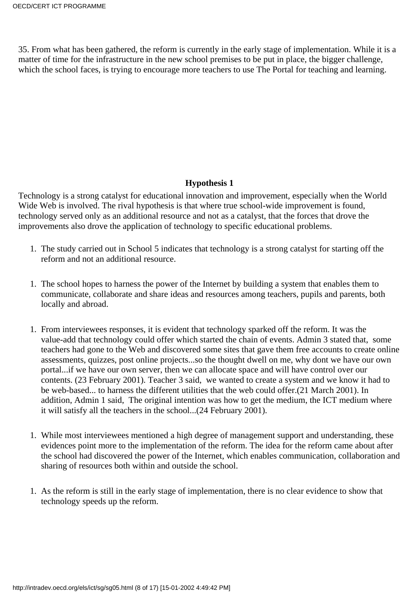35. From what has been gathered, the reform is currently in the early stage of implementation. While it is a matter of time for the infrastructure in the new school premises to be put in place, the bigger challenge, which the school faces, is trying to encourage more teachers to use The Portal for teaching and learning.

#### **Hypothesis 1**

<span id="page-7-0"></span>Technology is a strong catalyst for educational innovation and improvement, especially when the World Wide Web is involved. The rival hypothesis is that where true school-wide improvement is found, technology served only as an additional resource and not as a catalyst, that the forces that drove the improvements also drove the application of technology to specific educational problems.

- 1. The study carried out in School 5 indicates that technology is a strong catalyst for starting off the reform and not an additional resource.
- 1. The school hopes to harness the power of the Internet by building a system that enables them to communicate, collaborate and share ideas and resources among teachers, pupils and parents, both locally and abroad.
- 1. From interviewees responses, it is evident that technology sparked off the reform. It was the value-add that technology could offer which started the chain of events. Admin 3 stated that, some teachers had gone to the Web and discovered some sites that gave them free accounts to create online assessments, quizzes, post online projects...so the thought dwell on me, why dont we have our own portal...if we have our own server, then we can allocate space and will have control over our contents. (23 February 2001). Teacher 3 said, we wanted to create a system and we know it had to be web-based... to harness the different utilities that the web could offer.(21 March 2001). In addition, Admin 1 said, The original intention was how to get the medium, the ICT medium where it will satisfy all the teachers in the school...(24 February 2001).
- While most interviewees mentioned a high degree of management support and understanding, these 1. evidences point more to the implementation of the reform. The idea for the reform came about after the school had discovered the power of the Internet, which enables communication, collaboration and sharing of resources both within and outside the school.
- As the reform is still in the early stage of implementation, there is no clear evidence to show that 1. technology speeds up the reform.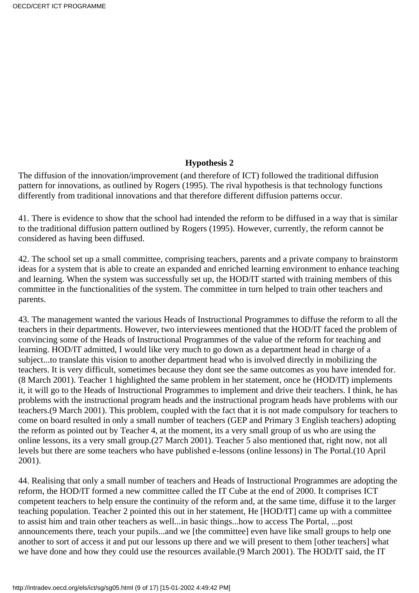#### **Hypothesis 2**

<span id="page-8-0"></span>The diffusion of the innovation/improvement (and therefore of ICT) followed the traditional diffusion pattern for innovations, as outlined by Rogers (1995). The rival hypothesis is that technology functions differently from traditional innovations and that therefore different diffusion patterns occur.

41. There is evidence to show that the school had intended the reform to be diffused in a way that is similar to the traditional diffusion pattern outlined by Rogers (1995). However, currently, the reform cannot be considered as having been diffused.

42. The school set up a small committee, comprising teachers, parents and a private company to brainstorm ideas for a system that is able to create an expanded and enriched learning environment to enhance teaching and learning. When the system was successfully set up, the HOD/IT started with training members of this committee in the functionalities of the system. The committee in turn helped to train other teachers and parents.

43. The management wanted the various Heads of Instructional Programmes to diffuse the reform to all the teachers in their departments. However, two interviewees mentioned that the HOD/IT faced the problem of convincing some of the Heads of Instructional Programmes of the value of the reform for teaching and learning. HOD/IT admitted, I would like very much to go down as a department head in charge of a subject...to translate this vision to another department head who is involved directly in mobilizing the teachers. It is very difficult, sometimes because they dont see the same outcomes as you have intended for. (8 March 2001). Teacher 1 highlighted the same problem in her statement, once he (HOD/IT) implements it, it will go to the Heads of Instructional Programmes to implement and drive their teachers. I think, he has problems with the instructional program heads and the instructional program heads have problems with our teachers.(9 March 2001). This problem, coupled with the fact that it is not made compulsory for teachers to come on board resulted in only a small number of teachers (GEP and Primary 3 English teachers) adopting the reform as pointed out by Teacher 4, at the moment, it s a very small group of us who are using the online lessons, it s a very small group. (27 March 2001). Teacher 5 also mentioned that, right now, not all levels but there are some teachers who have published e-lessons (online lessons) in The Portal.(10 April 2001).

44. Realising that only a small number of teachers and Heads of Instructional Programmes are adopting the reform, the HOD/IT formed a new committee called the IT Cube at the end of 2000. It comprises ICT competent teachers to help ensure the continuity of the reform and, at the same time, diffuse it to the larger teaching population. Teacher 2 pointed this out in her statement, He [HOD/IT] came up with a committee to assist him and train other teachers as well...in basic things...how to access The Portal, ...post announcements there, teach your pupils...and we [the committee] even have like small groups to help one another to sort of access it and put our lessons up there and we will present to them [other teachers] what we have done and how they could use the resources available. (9 March 2001). The HOD/IT said, the IT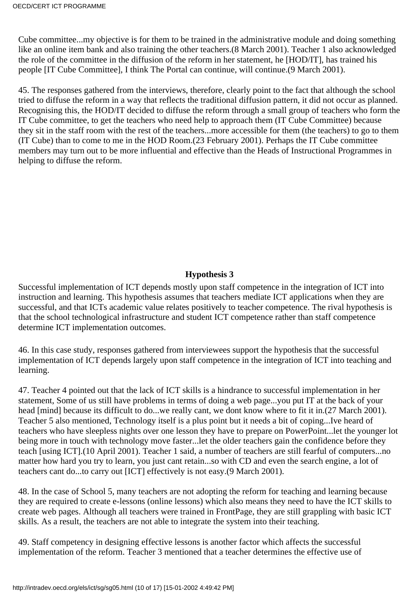Cube committee...my objective is for them to be trained in the administrative module and doing something like an online item bank and also training the other teachers.(8 March 2001). Teacher 1 also acknowledged the role of the committee in the diffusion of the reform in her statement, he [HOD/IT], has trained his people [IT Cube Committee], I think The Portal can continue, will continue.(9 March 2001).

45. The responses gathered from the interviews, therefore, clearly point to the fact that although the school tried to diffuse the reform in a way that reflects the traditional diffusion pattern, it did not occur as planned. Recognising this, the HOD/IT decided to diffuse the reform through a small group of teachers who form the IT Cube committee, to get the teachers who need help to approach them (IT Cube Committee) because they sit in the staff room with the rest of the teachers...more accessible for them (the teachers) to go to them (IT Cube) than to come to me in the HOD Room.(23 February 2001). Perhaps the IT Cube committee members may turn out to be more influential and effective than the Heads of Instructional Programmes in helping to diffuse the reform.

#### **Hypothesis 3**

<span id="page-9-0"></span>Successful implementation of ICT depends mostly upon staff competence in the integration of ICT into instruction and learning. This hypothesis assumes that teachers mediate ICT applications when they are successful, and that ICT s academic value relates positively to teacher competence. The rival hypothesis is that the school technological infrastructure and student ICT competence rather than staff competence determine ICT implementation outcomes.

46. In this case study, responses gathered from interviewees support the hypothesis that the successful implementation of ICT depends largely upon staff competence in the integration of ICT into teaching and learning.

47. Teacher 4 pointed out that the lack of ICT skills is a hindrance to successful implementation in her statement, Some of us still have problems in terms of doing a web page...you put IT at the back of your head [mind] because it s difficult to do...we really can t, we don t know where to fit it in. (27 March 2001). Teacher 5 also mentioned, Technology itself is a plus point but it needs a bit of coping...I ve heard of teachers who have sleepless nights over one lesson they have to prepare on PowerPoint...let the younger lot being more in touch with technology move faster...let the older teachers gain the confidence before they teach [using ICT].(10 April 2001). Teacher 1 said, a number of teachers are still fearful of computers...no matter how hard you try to learn, you just cant retain...so with CD and even the search engine, a lot of teachers cant do...to carry out [ICT] effectively is not easy.(9 March 2001).

48. In the case of School 5, many teachers are not adopting the reform for teaching and learning because they are required to create e-lessons (online lessons) which also means they need to have the ICT skills to create web pages. Although all teachers were trained in FrontPage, they are still grappling with basic ICT skills. As a result, the teachers are not able to integrate the system into their teaching.

49. Staff competency in designing effective lessons is another factor which affects the successful implementation of the reform. Teacher 3 mentioned that a teacher determines the effective use of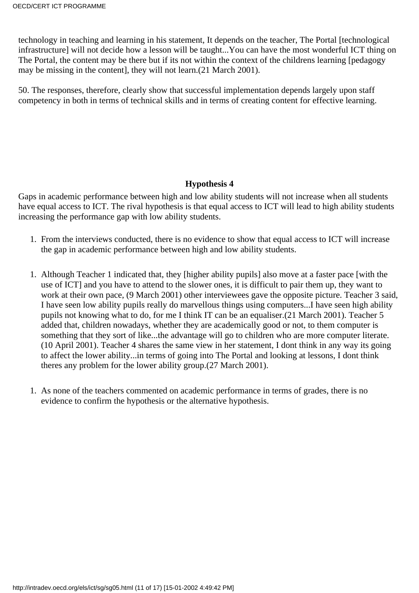technology in teaching and learning in his statement, It depends on the teacher, The Portal [technological infrastructure] will not decide how a lesson will be taught...You can have the most wonderful ICT thing on The Portal, the content may be there but if it s not within the context of the children s learning [pedagogy may be missing in the content], they will not learn.(21 March 2001).

50. The responses, therefore, clearly show that successful implementation depends largely upon staff competency in both in terms of technical skills and in terms of creating content for effective learning.

#### **Hypothesis 4**

<span id="page-10-0"></span>Gaps in academic performance between high and low ability students will not increase when all students have equal access to ICT. The rival hypothesis is that equal access to ICT will lead to high ability students increasing the performance gap with low ability students.

- From the interviews conducted, there is no evidence to show that equal access to ICT will increase 1. the gap in academic performance between high and low ability students.
- Although Teacher 1 indicated that, they [higher ability pupils] also move at a faster pace [with the 1. use of ICT] and you have to attend to the slower ones, it is difficult to pair them up, they want to work at their own pace, (9 March 2001) other interviewees gave the opposite picture. Teacher 3 said, I have seen low ability pupils really do marvellous things using computers...I have seen high ability pupils not knowing what to do, for me I think IT can be an equaliser.(21 March 2001). Teacher 5 added that, children nowadays, whether they are academically good or not, to them computer is something that they sort of like...the advantage will go to children who are more computer literate. (10 April 2001). Teacher 4 shares the same view in her statement, I dont think in any way its going to affect the lower ability...in terms of going into The Portal and looking at lessons, I dont think there s any problem for the lower ability group. (27 March 2001).
- As none of the teachers commented on academic performance in terms of grades, there is no 1. evidence to confirm the hypothesis or the alternative hypothesis.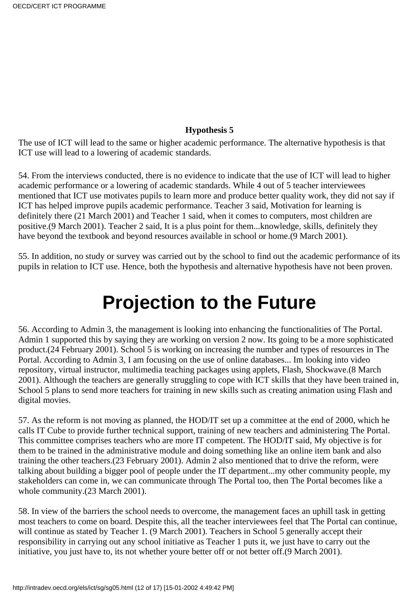#### **Hypothesis 5**

<span id="page-11-0"></span>The use of ICT will lead to the same or higher academic performance. The alternative hypothesis is that ICT use will lead to a lowering of academic standards.

54. From the interviews conducted, there is no evidence to indicate that the use of ICT will lead to higher academic performance or a lowering of academic standards. While 4 out of 5 teacher interviewees mentioned that ICT use motivates pupils to learn more and produce better quality work, they did not say if ICT has helped improve pupils academic performance. Teacher 3 said, Motivation for learning is definitely there (21 March 2001) and Teacher 1 said, when it comes to computers, most children are positive.(9 March 2001). Teacher 2 said, It is a plus point for them...knowledge, skills, definitely they have beyond the textbook and beyond resources available in school or home.(9 March 2001).

55. In addition, no study or survey was carried out by the school to find out the academic performance of its pupils in relation to ICT use. Hence, both the hypothesis and alternative hypothesis have not been proven.

### **Projection to the Future**

<span id="page-11-1"></span>56. According to Admin 3, the management is looking into enhancing the functionalities of The Portal. Admin 1 supported this by saying they are working on version 2 now. It s going to be a more sophisticated product.(24 February 2001). School 5 is working on increasing the number and types of resources in The Portal. According to Admin 3, I am focusing on the use of online databases... I m looking into video repository, virtual instructor, multimedia teaching packages using applets, Flash, Shockwave.(8 March 2001). Although the teachers are generally struggling to cope with ICT skills that they have been trained in, School 5 plans to send more teachers for training in new skills such as creating animation using Flash and digital movies.

57. As the reform is not moving as planned, the HOD/IT set up a committee at the end of 2000, which he calls IT Cube to provide further technical support, training of new teachers and administering The Portal. This committee comprises teachers who are more IT competent. The HOD/IT said, My objective is for them to be trained in the administrative module and doing something like an online item bank and also training the other teachers.(23 February 2001). Admin 2 also mentioned that to drive the reform, were talking about building a bigger pool of people under the IT department...my other community people, my stakeholders can come in, we can communicate through The Portal too, then The Portal becomes like a whole community. (23 March 2001).

58. In view of the barriers the school needs to overcome, the management faces an uphill task in getting most teachers to come on board. Despite this, all the teacher interviewees feel that The Portal can continue, will continue as stated by Teacher 1. (9 March 2001). Teachers in School 5 generally accept their responsibility in carrying out any school initiative as Teacher 1 puts it, we just have to carry out the initiative, you just have to, it s not whether you re better off or not better off. (9 March 2001).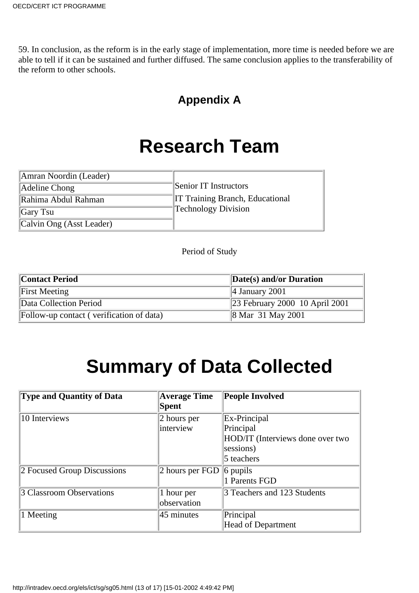<span id="page-12-0"></span>59. In conclusion, as the reform is in the early stage of implementation, more time is needed before we are able to tell if it can be sustained and further diffused. The same conclusion applies to the transferability of the reform to other schools.

### **Appendix A**

### **Research Team**

| Amran Noordin (Leader)   |                                        |
|--------------------------|----------------------------------------|
| Adeline Chong            | Senior IT Instructors                  |
| Rahima Abdul Rahman      | <b>IT Training Branch, Educational</b> |
| $\vert$ Gary Tsu         | <b>Technology Division</b>             |
| Calvin Ong (Asst Leader) |                                        |

Period of Study

| <b>Contact Period</b>                    | $\Delta$ Date(s) and/or Duration           |  |  |  |  |
|------------------------------------------|--------------------------------------------|--|--|--|--|
| <b>First Meeting</b>                     | 4 January 2001                             |  |  |  |  |
| Data Collection Period                   | $\parallel$ 23 February 2000 10 April 2001 |  |  |  |  |
| Follow-up contact (verification of data) | $\ 8 \text{ Mar } 31 \text{ May } 2001$    |  |  |  |  |

## **Summary of Data Collected**

| Type and Quantity of Data   | <b>Average Time</b><br>Spent | <b>People Involved</b>                                        |
|-----------------------------|------------------------------|---------------------------------------------------------------|
| 10 Interviews               | 2 hours per<br>interview     | Ex-Principal<br>Principal<br>HOD/IT (Interviews done over two |
|                             |                              | sessions)<br>5 teachers                                       |
| 2 Focused Group Discussions | 2 hours per FGD              | $\vert$ 6 pupils<br>1 Parents FGD                             |
| 3 Classroom Observations    | 1 hour per<br>observation    | 3 Teachers and 123 Students                                   |
| 1 Meeting                   | $ 45 \text{ minutes} $       | Principal<br><b>Head of Department</b>                        |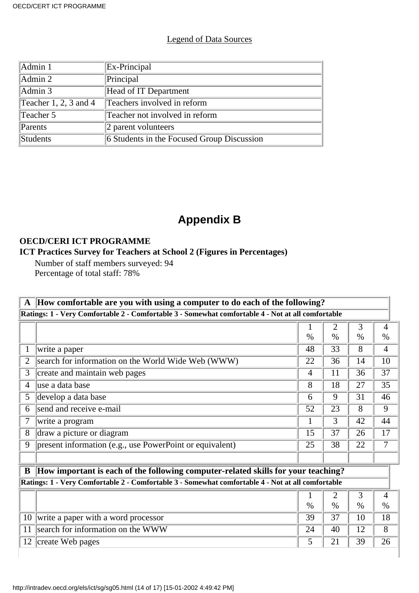#### Legend of Data Sources

| Admin 1               | Ex-Principal                               |
|-----------------------|--------------------------------------------|
| Admin 2               | Principal                                  |
| Admin 3               | Head of IT Department                      |
| Teacher 1, 2, 3 and 4 | Teachers involved in reform                |
| Teacher $5$           | Teacher not involved in reform             |
| Parents               | 2 parent volunteers                        |
| Students              | 6 Students in the Focused Group Discussion |

### **Appendix B**

#### <span id="page-13-0"></span>**OECD/CERI ICT PROGRAMME**

#### **ICT Practices Survey for Teachers at School 2 (Figures in Percentages)**

Number of staff members surveyed: 94 Percentage of total staff: 78%

| $\mathbf A$    | How comfortable are you with using a computer to do each of the following?                        |      |                |      |                |  |  |
|----------------|---------------------------------------------------------------------------------------------------|------|----------------|------|----------------|--|--|
|                | Ratings: 1 - Very Comfortable 2 - Comfortable 3 - Somewhat comfortable 4 - Not at all comfortable |      |                |      |                |  |  |
|                |                                                                                                   |      | $\overline{2}$ | 3    | 4              |  |  |
|                |                                                                                                   | $\%$ | $\%$           | $\%$ | $\%$           |  |  |
| 1              | write a paper                                                                                     | 48   | 33             | 8    | 4              |  |  |
| $\overline{2}$ | search for information on the World Wide Web (WWW)                                                | 22   | 36             | 14   | 10             |  |  |
| 3              | create and maintain web pages                                                                     | 4    | 11             | 36   | 37             |  |  |
| 4              | luse a data base                                                                                  | 8    | 18             | 27   | 35             |  |  |
| 5              | develop a data base                                                                               | 6    | 9              | 31   | 46             |  |  |
| 6              | send and receive e-mail                                                                           | 52   | 23             | 8    | 9              |  |  |
| 7              | write a program                                                                                   |      | 3              | 42   | 44             |  |  |
| 8              | draw a picture or diagram                                                                         | 15   | 37             | 26   | 17             |  |  |
| 9              | present information (e.g., use PowerPoint or equivalent)                                          | 25   | 38             | 22   | 7              |  |  |
|                |                                                                                                   |      |                |      |                |  |  |
| B              | How important is each of the following computer-related skills for your teaching?                 |      |                |      |                |  |  |
|                | Ratings: 1 - Very Comfortable 2 - Comfortable 3 - Somewhat comfortable 4 - Not at all comfortable |      |                |      |                |  |  |
|                |                                                                                                   |      | $\overline{2}$ | 3    | $\overline{4}$ |  |  |
|                |                                                                                                   | $\%$ | $\%$           | $\%$ | $\%$           |  |  |
| 10             | write a paper with a word processor                                                               | 39   | 37             | 10   | 18             |  |  |
| 11             | search for information on the WWW                                                                 | 24   | 40             | 12   | 8              |  |  |
| 12             | create Web pages                                                                                  | 5    | 21             | 39   | 26             |  |  |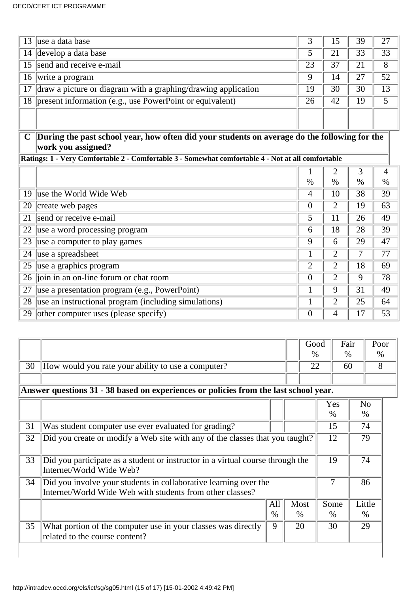| 13 | luse a data base                                              |    | 15 | 39 | 27 |
|----|---------------------------------------------------------------|----|----|----|----|
|    | 14 develop a data base                                        |    | 21 | 33 | 33 |
|    | 15 send and receive e-mail                                    | 23 | 37 |    | 8  |
| 16 | write a program                                               | ч  | 14 |    | 52 |
| 17 | draw a picture or diagram with a graphing/drawing application | 19 | 30 | 30 | 13 |
|    | 18   present information (e.g., use PowerPoint or equivalent) | 26 | 42 | 19 |    |
|    |                                                               |    |    |    |    |
|    |                                                               |    |    |    |    |

#### **C During the past school year, how often did your students on average do the following for the work you assigned?**

**Ratings: 1 - Very Comfortable 2 - Comfortable 3 - Somewhat comfortable 4 - Not at all comfortable**

|    |                                                      |                | 2    | 3    |      |
|----|------------------------------------------------------|----------------|------|------|------|
|    |                                                      | $\%$           | $\%$ | $\%$ | $\%$ |
|    | 19 luse the World Wide Web                           | 4              | 10   | 38   | 39   |
| 20 | create web pages                                     | $\overline{0}$ | 2    | 19   | 63   |
| 21 | send or receive e-mail                               | 5              | 11   | 26   | 49   |
| 22 | use a word processing program                        | 6              | 18   | 28   | 39   |
| 23 | use a computer to play games                         | 9              | 6    | 29   | 47   |
| 24 | use a spreadsheet                                    |                | 2    |      | 77   |
| 25 | use a graphics program                               | $\overline{2}$ | 2    | 18   | 69   |
|    | 26 join in an on-line forum or chat room             | $\overline{0}$ | 2    | 9    | 78   |
| 27 | use a presentation program (e.g., PowerPoint)        |                | 9    | 31   | 49   |
| 28 | use an instructional program (including simulations) |                | 2    | 25   | 64   |
| 29 | other computer uses (please specify)                 | $\overline{0}$ | 4    |      | 53   |

|    |                                                                                                                               |      |  | Good |               | Fair | Poor           |
|----|-------------------------------------------------------------------------------------------------------------------------------|------|--|------|---------------|------|----------------|
|    |                                                                                                                               |      |  | $\%$ |               | $\%$ | $\%$           |
| 30 | How would you rate your ability to use a computer?                                                                            |      |  | 22   |               | 60   | 8              |
|    |                                                                                                                               |      |  |      |               |      |                |
|    | Answer questions 31 - 38 based on experiences or policies from the last school year.                                          |      |  |      |               |      |                |
|    |                                                                                                                               |      |  |      | Yes           |      | N <sub>o</sub> |
|    |                                                                                                                               |      |  |      | $\frac{0}{0}$ |      | $\%$           |
| 31 | Was student computer use ever evaluated for grading?                                                                          |      |  |      | 15            |      | 74             |
| 32 | Did you create or modify a Web site with any of the classes that you taught?                                                  |      |  | 12   |               | 79   |                |
| 33 | Did you participate as a student or instructor in a virtual course through the<br>Internet/World Wide Web?                    |      |  |      | 19            |      | 74             |
| 34 | Did you involve your students in collaborative learning over the<br>Internet/World Wide Web with students from other classes? |      |  |      | 7             |      | 86             |
|    |                                                                                                                               | All  |  | Most | Some          |      | Little         |
|    |                                                                                                                               | $\%$ |  | $\%$ | $\frac{0}{0}$ |      | $\%$           |
| 35 | What portion of the computer use in your classes was directly<br>related to the course content?                               | 9    |  | 20   | 30            |      | 29             |
|    |                                                                                                                               |      |  |      |               |      |                |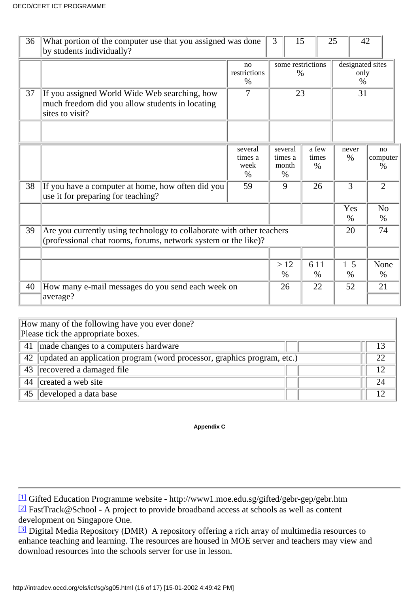| 36 | What portion of the computer use that you assigned was done<br>by students individually?                                                |                                    | 3                                   | 15                        | 25                               | 42                     |    |  |
|----|-----------------------------------------------------------------------------------------------------------------------------------------|------------------------------------|-------------------------------------|---------------------------|----------------------------------|------------------------|----|--|
|    |                                                                                                                                         | no<br>restrictions<br>$\%$         |                                     | some restrictions<br>$\%$ | designated sites<br>only<br>$\%$ |                        |    |  |
| 37 | If you assigned World Wide Web searching, how<br>much freedom did you allow students in locating<br>sites to visit?                     | 7                                  | 23                                  |                           |                                  |                        | 31 |  |
|    |                                                                                                                                         |                                    |                                     |                           |                                  |                        |    |  |
|    |                                                                                                                                         | several<br>times a<br>week<br>$\%$ | several<br>times a<br>month<br>$\%$ | a few<br>times<br>$\%$    | never<br>$\%$                    | no<br>computer<br>$\%$ |    |  |
| 38 | If you have a computer at home, how often did you<br>use it for preparing for teaching?                                                 | 59                                 | 9                                   | 26                        | 3                                | $\overline{2}$         |    |  |
|    |                                                                                                                                         |                                    |                                     |                           | Yes<br>$\%$                      | N <sub>o</sub><br>$\%$ |    |  |
| 39 | Are you currently using technology to collaborate with other teachers<br>(professional chat rooms, forums, network system or the like)? |                                    |                                     |                           | 20                               | 74                     |    |  |
|    |                                                                                                                                         |                                    |                                     |                           |                                  |                        |    |  |
|    |                                                                                                                                         |                                    | >12<br>$\%$                         | 6 11<br>$\%$              | 5<br>$\%$                        | None<br>$\%$           |    |  |
| 40 | How many e-mail messages do you send each week on                                                                                       |                                    | 26                                  | 22                        | 52                               | 21                     |    |  |
|    | average?                                                                                                                                |                                    |                                     |                           |                                  |                        |    |  |

|    | How many of the following have you ever done?<br>Please tick the appropriate boxes. |    |  |  |
|----|-------------------------------------------------------------------------------------|----|--|--|
|    | 41 made changes to a computer s hardware                                            | 13 |  |  |
|    | 42   updated an application program (word processor, graphics program, etc.)        |    |  |  |
|    | 43 recovered a damaged file                                                         | 12 |  |  |
| 44 | created a web site                                                                  | 24 |  |  |
|    | 45 developed a data base                                                            | 12 |  |  |

**Appendix C**

<span id="page-15-2"></span><span id="page-15-1"></span><span id="page-15-0"></span>[\[1\]](#page-1-1) Gifted Education Programme website - http://www1.moe.edu.sg/gifted/gebr-gep/gebr.htm [\[2\]](#page-2-0) FastTrack@School - A project to provide broadband access at schools as well as content development on Singapore One.

<span id="page-15-3"></span><sup>[3]</sup> Digital Media Repository (DMR) A repository offering a rich array of multimedia resources to enhance teaching and learning. The resources are housed in MOE server and teachers may view and download resources into the school s server for use in lesson.